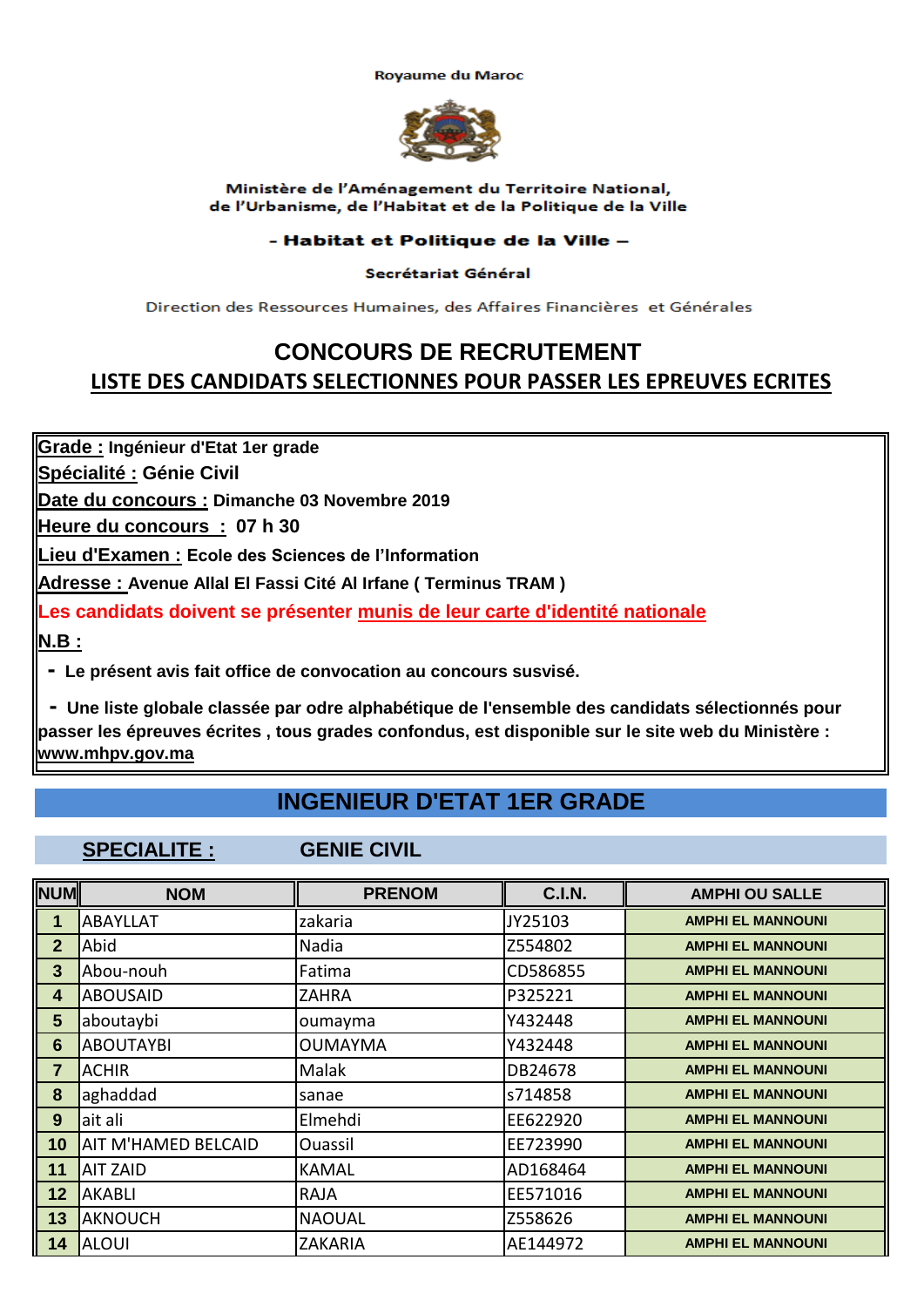**Royaume du Maroc** 



### Ministère de l'Aménagement du Territoire National, de l'Urbanisme, de l'Habitat et de la Politique de la Ville

## - Habitat et Politique de la Ville -

## Secrétariat Général

Direction des Ressources Humaines, des Affaires Financières et Générales

# **CONCOURS DE RECRUTEMENT LISTE DES CANDIDATS SELECTIONNES POUR PASSER LES EPREUVES ECRITES**

**Grade : Ingénieur d'Etat 1er grade**

**Spécialité : Génie Civil**

**Date du concours : Dimanche 03 Novembre 2019**

**Heure du concours : 07 h 30**

**Lieu d'Examen : Ecole des Sciences de l'Information**

**Adresse : Avenue Allal El Fassi Cité Al Irfane ( Terminus TRAM )** 

**Les candidats doivent se présenter munis de leur carte d'identité nationale**

**N.B :**

 **- Le présent avis fait office de convocation au concours susvisé.**

 **- Une liste globale classée par odre alphabétique de l'ensemble des candidats sélectionnés pour passer les épreuves écrites , tous grades confondus, est disponible sur le site web du Ministère : www.mhpv.gov.ma**

# **INGENIEUR D'ETAT 1ER GRADE**

**SPECIALITE : GENIE CIVIL**

| <b>NUM</b>     | <b>NOM</b>                 | <b>PRENOM</b>  | <b>C.I.N.</b> | <b>AMPHI OU SALLE</b>    |
|----------------|----------------------------|----------------|---------------|--------------------------|
| 1              | <b>ABAYLLAT</b>            | zakaria        | JY25103       | <b>AMPHI EL MANNOUNI</b> |
| $\overline{2}$ | Abid                       | Nadia          | Z554802       | <b>AMPHI EL MANNOUNI</b> |
| 3 <sup>5</sup> | Abou-nouh                  | Fatima         | CD586855      | <b>AMPHI EL MANNOUNI</b> |
| 4              | <b>ABOUSAID</b>            | ZAHRA          | P325221       | <b>AMPHI EL MANNOUNI</b> |
| $5\phantom{1}$ | aboutaybi                  | oumayma        | Y432448       | <b>AMPHI EL MANNOUNI</b> |
| $6\phantom{1}$ | <b>ABOUTAYBI</b>           | <b>OUMAYMA</b> | Y432448       | <b>AMPHI EL MANNOUNI</b> |
| $\overline{7}$ | <b>ACHIR</b>               | Malak          | DB24678       | <b>AMPHI EL MANNOUNI</b> |
| 8              | aghaddad                   | sanae          | s714858       | <b>AMPHI EL MANNOUNI</b> |
| 9              | ait ali                    | Elmehdi        | EE622920      | <b>AMPHI EL MANNOUNI</b> |
| 10             | <b>AIT M'HAMED BELCAID</b> | Ouassil        | EE723990      | <b>AMPHI EL MANNOUNI</b> |
| 11             | <b>AIT ZAID</b>            | <b>KAMAL</b>   | AD168464      | <b>AMPHI EL MANNOUNI</b> |
| 12             | <b>AKABLI</b>              | <b>RAJA</b>    | EE571016      | <b>AMPHI EL MANNOUNI</b> |
| 13             | <b>AKNOUCH</b>             | <b>NAOUAL</b>  | Z558626       | <b>AMPHI EL MANNOUNI</b> |
| 14             | <b>ALOUI</b>               | <b>ZAKARIA</b> | AE144972      | <b>AMPHI EL MANNOUNI</b> |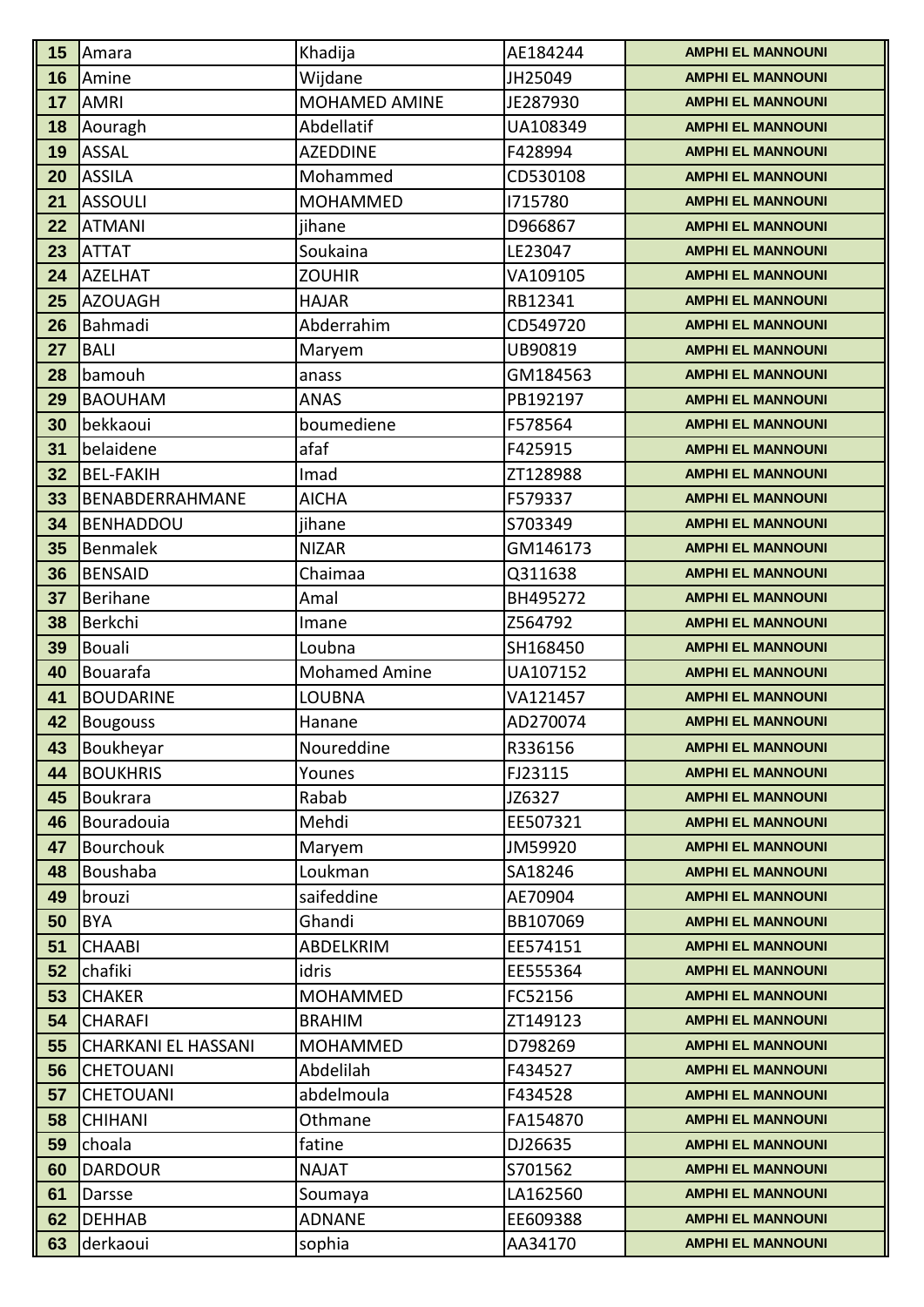| Wijdane<br>16<br>JH25049<br>Amine<br><b>AMPHI EL MANNOUNI</b><br>MOHAMED AMINE<br>17<br><b>AMRI</b><br>JE287930<br><b>AMPHI EL MANNOUNI</b><br>18<br>Aouragh<br>Abdellatif<br>UA108349<br><b>AMPHI EL MANNOUNI</b><br><b>ASSAL</b><br>19<br><b>AZEDDINE</b><br>F428994<br><b>AMPHI EL MANNOUNI</b><br><b>ASSILA</b><br>Mohammed<br>CD530108<br><b>AMPHI EL MANNOUNI</b><br>20<br><b>ASSOULI</b><br>21<br><b>MOHAMMED</b><br>1715780<br><b>AMPHI EL MANNOUNI</b><br>22<br><b>ATMANI</b><br>jihane<br>D966867<br><b>AMPHI EL MANNOUNI</b><br><b>ATTAT</b><br>Soukaina<br>LE23047<br><b>AMPHI EL MANNOUNI</b><br>23<br>24<br><b>AZELHAT</b><br><b>ZOUHIR</b><br>VA109105<br><b>AMPHI EL MANNOUNI</b><br><b>AZOUAGH</b><br>25<br><b>HAJAR</b><br>RB12341<br><b>AMPHI EL MANNOUNI</b><br>Abderrahim<br>Bahmadi<br>CD549720<br><b>AMPHI EL MANNOUNI</b><br>26<br><b>BALI</b><br>27<br>UB90819<br><b>AMPHI EL MANNOUNI</b><br>Maryem<br>bamouh<br>28<br>GM184563<br><b>AMPHI EL MANNOUNI</b><br>anass<br><b>BAOUHAM</b><br><b>ANAS</b><br>29<br>PB192197<br><b>AMPHI EL MANNOUNI</b><br>bekkaoui<br>boumediene<br>30<br>F578564<br><b>AMPHI EL MANNOUNI</b><br>belaidene<br>afaf<br>31<br>F425915<br><b>AMPHI EL MANNOUNI</b><br>32<br><b>BEL-FAKIH</b><br><b>AMPHI EL MANNOUNI</b><br>Imad<br>ZT128988<br>33<br>BENABDERRAHMANE<br><b>AICHA</b><br>F579337<br><b>AMPHI EL MANNOUNI</b><br>34<br><b>BENHADDOU</b><br>jihane<br>S703349<br><b>AMPHI EL MANNOUNI</b><br>Benmalek<br>35<br><b>NIZAR</b><br>GM146173<br><b>AMPHI EL MANNOUNI</b><br><b>BENSAID</b><br>36<br>Chaimaa<br>Q311638<br><b>AMPHI EL MANNOUNI</b><br>Berihane<br>37<br>Amal<br>BH495272<br><b>AMPHI EL MANNOUNI</b><br>Berkchi<br>38<br>Z564792<br>Imane<br><b>AMPHI EL MANNOUNI</b><br><b>Bouali</b><br>39<br>SH168450<br>Loubna<br><b>AMPHI EL MANNOUNI</b><br><b>Mohamed Amine</b><br>40<br>Bouarafa<br>UA107152<br><b>AMPHI EL MANNOUNI</b><br><b>BOUDARINE</b><br>41<br><b>LOUBNA</b><br>VA121457<br><b>AMPHI EL MANNOUNI</b><br>42<br>AD270074<br>Hanane<br><b>AMPHI EL MANNOUNI</b><br><b>Bougouss</b> | 15 | Amara     | Khadija    | AE184244 | <b>AMPHI EL MANNOUNI</b> |
|-----------------------------------------------------------------------------------------------------------------------------------------------------------------------------------------------------------------------------------------------------------------------------------------------------------------------------------------------------------------------------------------------------------------------------------------------------------------------------------------------------------------------------------------------------------------------------------------------------------------------------------------------------------------------------------------------------------------------------------------------------------------------------------------------------------------------------------------------------------------------------------------------------------------------------------------------------------------------------------------------------------------------------------------------------------------------------------------------------------------------------------------------------------------------------------------------------------------------------------------------------------------------------------------------------------------------------------------------------------------------------------------------------------------------------------------------------------------------------------------------------------------------------------------------------------------------------------------------------------------------------------------------------------------------------------------------------------------------------------------------------------------------------------------------------------------------------------------------------------------------------------------------------------------------------------------------------------------------------------------------------------------------------------------------------------------------------|----|-----------|------------|----------|--------------------------|
|                                                                                                                                                                                                                                                                                                                                                                                                                                                                                                                                                                                                                                                                                                                                                                                                                                                                                                                                                                                                                                                                                                                                                                                                                                                                                                                                                                                                                                                                                                                                                                                                                                                                                                                                                                                                                                                                                                                                                                                                                                                                             |    |           |            |          |                          |
|                                                                                                                                                                                                                                                                                                                                                                                                                                                                                                                                                                                                                                                                                                                                                                                                                                                                                                                                                                                                                                                                                                                                                                                                                                                                                                                                                                                                                                                                                                                                                                                                                                                                                                                                                                                                                                                                                                                                                                                                                                                                             |    |           |            |          |                          |
|                                                                                                                                                                                                                                                                                                                                                                                                                                                                                                                                                                                                                                                                                                                                                                                                                                                                                                                                                                                                                                                                                                                                                                                                                                                                                                                                                                                                                                                                                                                                                                                                                                                                                                                                                                                                                                                                                                                                                                                                                                                                             |    |           |            |          |                          |
|                                                                                                                                                                                                                                                                                                                                                                                                                                                                                                                                                                                                                                                                                                                                                                                                                                                                                                                                                                                                                                                                                                                                                                                                                                                                                                                                                                                                                                                                                                                                                                                                                                                                                                                                                                                                                                                                                                                                                                                                                                                                             |    |           |            |          |                          |
|                                                                                                                                                                                                                                                                                                                                                                                                                                                                                                                                                                                                                                                                                                                                                                                                                                                                                                                                                                                                                                                                                                                                                                                                                                                                                                                                                                                                                                                                                                                                                                                                                                                                                                                                                                                                                                                                                                                                                                                                                                                                             |    |           |            |          |                          |
|                                                                                                                                                                                                                                                                                                                                                                                                                                                                                                                                                                                                                                                                                                                                                                                                                                                                                                                                                                                                                                                                                                                                                                                                                                                                                                                                                                                                                                                                                                                                                                                                                                                                                                                                                                                                                                                                                                                                                                                                                                                                             |    |           |            |          |                          |
|                                                                                                                                                                                                                                                                                                                                                                                                                                                                                                                                                                                                                                                                                                                                                                                                                                                                                                                                                                                                                                                                                                                                                                                                                                                                                                                                                                                                                                                                                                                                                                                                                                                                                                                                                                                                                                                                                                                                                                                                                                                                             |    |           |            |          |                          |
|                                                                                                                                                                                                                                                                                                                                                                                                                                                                                                                                                                                                                                                                                                                                                                                                                                                                                                                                                                                                                                                                                                                                                                                                                                                                                                                                                                                                                                                                                                                                                                                                                                                                                                                                                                                                                                                                                                                                                                                                                                                                             |    |           |            |          |                          |
|                                                                                                                                                                                                                                                                                                                                                                                                                                                                                                                                                                                                                                                                                                                                                                                                                                                                                                                                                                                                                                                                                                                                                                                                                                                                                                                                                                                                                                                                                                                                                                                                                                                                                                                                                                                                                                                                                                                                                                                                                                                                             |    |           |            |          |                          |
|                                                                                                                                                                                                                                                                                                                                                                                                                                                                                                                                                                                                                                                                                                                                                                                                                                                                                                                                                                                                                                                                                                                                                                                                                                                                                                                                                                                                                                                                                                                                                                                                                                                                                                                                                                                                                                                                                                                                                                                                                                                                             |    |           |            |          |                          |
|                                                                                                                                                                                                                                                                                                                                                                                                                                                                                                                                                                                                                                                                                                                                                                                                                                                                                                                                                                                                                                                                                                                                                                                                                                                                                                                                                                                                                                                                                                                                                                                                                                                                                                                                                                                                                                                                                                                                                                                                                                                                             |    |           |            |          |                          |
|                                                                                                                                                                                                                                                                                                                                                                                                                                                                                                                                                                                                                                                                                                                                                                                                                                                                                                                                                                                                                                                                                                                                                                                                                                                                                                                                                                                                                                                                                                                                                                                                                                                                                                                                                                                                                                                                                                                                                                                                                                                                             |    |           |            |          |                          |
|                                                                                                                                                                                                                                                                                                                                                                                                                                                                                                                                                                                                                                                                                                                                                                                                                                                                                                                                                                                                                                                                                                                                                                                                                                                                                                                                                                                                                                                                                                                                                                                                                                                                                                                                                                                                                                                                                                                                                                                                                                                                             |    |           |            |          |                          |
|                                                                                                                                                                                                                                                                                                                                                                                                                                                                                                                                                                                                                                                                                                                                                                                                                                                                                                                                                                                                                                                                                                                                                                                                                                                                                                                                                                                                                                                                                                                                                                                                                                                                                                                                                                                                                                                                                                                                                                                                                                                                             |    |           |            |          |                          |
|                                                                                                                                                                                                                                                                                                                                                                                                                                                                                                                                                                                                                                                                                                                                                                                                                                                                                                                                                                                                                                                                                                                                                                                                                                                                                                                                                                                                                                                                                                                                                                                                                                                                                                                                                                                                                                                                                                                                                                                                                                                                             |    |           |            |          |                          |
|                                                                                                                                                                                                                                                                                                                                                                                                                                                                                                                                                                                                                                                                                                                                                                                                                                                                                                                                                                                                                                                                                                                                                                                                                                                                                                                                                                                                                                                                                                                                                                                                                                                                                                                                                                                                                                                                                                                                                                                                                                                                             |    |           |            |          |                          |
|                                                                                                                                                                                                                                                                                                                                                                                                                                                                                                                                                                                                                                                                                                                                                                                                                                                                                                                                                                                                                                                                                                                                                                                                                                                                                                                                                                                                                                                                                                                                                                                                                                                                                                                                                                                                                                                                                                                                                                                                                                                                             |    |           |            |          |                          |
|                                                                                                                                                                                                                                                                                                                                                                                                                                                                                                                                                                                                                                                                                                                                                                                                                                                                                                                                                                                                                                                                                                                                                                                                                                                                                                                                                                                                                                                                                                                                                                                                                                                                                                                                                                                                                                                                                                                                                                                                                                                                             |    |           |            |          |                          |
|                                                                                                                                                                                                                                                                                                                                                                                                                                                                                                                                                                                                                                                                                                                                                                                                                                                                                                                                                                                                                                                                                                                                                                                                                                                                                                                                                                                                                                                                                                                                                                                                                                                                                                                                                                                                                                                                                                                                                                                                                                                                             |    |           |            |          |                          |
|                                                                                                                                                                                                                                                                                                                                                                                                                                                                                                                                                                                                                                                                                                                                                                                                                                                                                                                                                                                                                                                                                                                                                                                                                                                                                                                                                                                                                                                                                                                                                                                                                                                                                                                                                                                                                                                                                                                                                                                                                                                                             |    |           |            |          |                          |
|                                                                                                                                                                                                                                                                                                                                                                                                                                                                                                                                                                                                                                                                                                                                                                                                                                                                                                                                                                                                                                                                                                                                                                                                                                                                                                                                                                                                                                                                                                                                                                                                                                                                                                                                                                                                                                                                                                                                                                                                                                                                             |    |           |            |          |                          |
|                                                                                                                                                                                                                                                                                                                                                                                                                                                                                                                                                                                                                                                                                                                                                                                                                                                                                                                                                                                                                                                                                                                                                                                                                                                                                                                                                                                                                                                                                                                                                                                                                                                                                                                                                                                                                                                                                                                                                                                                                                                                             |    |           |            |          |                          |
|                                                                                                                                                                                                                                                                                                                                                                                                                                                                                                                                                                                                                                                                                                                                                                                                                                                                                                                                                                                                                                                                                                                                                                                                                                                                                                                                                                                                                                                                                                                                                                                                                                                                                                                                                                                                                                                                                                                                                                                                                                                                             |    |           |            |          |                          |
|                                                                                                                                                                                                                                                                                                                                                                                                                                                                                                                                                                                                                                                                                                                                                                                                                                                                                                                                                                                                                                                                                                                                                                                                                                                                                                                                                                                                                                                                                                                                                                                                                                                                                                                                                                                                                                                                                                                                                                                                                                                                             |    |           |            |          |                          |
|                                                                                                                                                                                                                                                                                                                                                                                                                                                                                                                                                                                                                                                                                                                                                                                                                                                                                                                                                                                                                                                                                                                                                                                                                                                                                                                                                                                                                                                                                                                                                                                                                                                                                                                                                                                                                                                                                                                                                                                                                                                                             |    |           |            |          |                          |
|                                                                                                                                                                                                                                                                                                                                                                                                                                                                                                                                                                                                                                                                                                                                                                                                                                                                                                                                                                                                                                                                                                                                                                                                                                                                                                                                                                                                                                                                                                                                                                                                                                                                                                                                                                                                                                                                                                                                                                                                                                                                             |    |           |            |          |                          |
|                                                                                                                                                                                                                                                                                                                                                                                                                                                                                                                                                                                                                                                                                                                                                                                                                                                                                                                                                                                                                                                                                                                                                                                                                                                                                                                                                                                                                                                                                                                                                                                                                                                                                                                                                                                                                                                                                                                                                                                                                                                                             |    |           |            |          |                          |
|                                                                                                                                                                                                                                                                                                                                                                                                                                                                                                                                                                                                                                                                                                                                                                                                                                                                                                                                                                                                                                                                                                                                                                                                                                                                                                                                                                                                                                                                                                                                                                                                                                                                                                                                                                                                                                                                                                                                                                                                                                                                             | 43 | Boukheyar | Noureddine | R336156  | <b>AMPHI EL MANNOUNI</b> |
| <b>BOUKHRIS</b><br>44<br>Younes<br>FJ23115<br><b>AMPHI EL MANNOUNI</b>                                                                                                                                                                                                                                                                                                                                                                                                                                                                                                                                                                                                                                                                                                                                                                                                                                                                                                                                                                                                                                                                                                                                                                                                                                                                                                                                                                                                                                                                                                                                                                                                                                                                                                                                                                                                                                                                                                                                                                                                      |    |           |            |          |                          |
| 45<br>Boukrara<br>Rabab<br>JZ6327<br><b>AMPHI EL MANNOUNI</b>                                                                                                                                                                                                                                                                                                                                                                                                                                                                                                                                                                                                                                                                                                                                                                                                                                                                                                                                                                                                                                                                                                                                                                                                                                                                                                                                                                                                                                                                                                                                                                                                                                                                                                                                                                                                                                                                                                                                                                                                               |    |           |            |          |                          |
| 46<br>Bouradouia<br>Mehdi<br>EE507321<br><b>AMPHI EL MANNOUNI</b>                                                                                                                                                                                                                                                                                                                                                                                                                                                                                                                                                                                                                                                                                                                                                                                                                                                                                                                                                                                                                                                                                                                                                                                                                                                                                                                                                                                                                                                                                                                                                                                                                                                                                                                                                                                                                                                                                                                                                                                                           |    |           |            |          |                          |
| <b>Bourchouk</b><br>JM59920<br><b>AMPHI EL MANNOUNI</b><br>47<br>Maryem                                                                                                                                                                                                                                                                                                                                                                                                                                                                                                                                                                                                                                                                                                                                                                                                                                                                                                                                                                                                                                                                                                                                                                                                                                                                                                                                                                                                                                                                                                                                                                                                                                                                                                                                                                                                                                                                                                                                                                                                     |    |           |            |          |                          |
| Boushaba<br>48<br>Loukman<br>SA18246<br><b>AMPHI EL MANNOUNI</b>                                                                                                                                                                                                                                                                                                                                                                                                                                                                                                                                                                                                                                                                                                                                                                                                                                                                                                                                                                                                                                                                                                                                                                                                                                                                                                                                                                                                                                                                                                                                                                                                                                                                                                                                                                                                                                                                                                                                                                                                            |    |           |            |          |                          |
| saifeddine<br>AE70904<br>49<br>brouzi<br><b>AMPHI EL MANNOUNI</b>                                                                                                                                                                                                                                                                                                                                                                                                                                                                                                                                                                                                                                                                                                                                                                                                                                                                                                                                                                                                                                                                                                                                                                                                                                                                                                                                                                                                                                                                                                                                                                                                                                                                                                                                                                                                                                                                                                                                                                                                           |    |           |            |          |                          |
| <b>BYA</b><br>Ghandi<br>BB107069<br><b>AMPHI EL MANNOUNI</b><br>50                                                                                                                                                                                                                                                                                                                                                                                                                                                                                                                                                                                                                                                                                                                                                                                                                                                                                                                                                                                                                                                                                                                                                                                                                                                                                                                                                                                                                                                                                                                                                                                                                                                                                                                                                                                                                                                                                                                                                                                                          |    |           |            |          |                          |
| 51<br><b>CHAABI</b><br>ABDELKRIM<br>EE574151<br><b>AMPHI EL MANNOUNI</b>                                                                                                                                                                                                                                                                                                                                                                                                                                                                                                                                                                                                                                                                                                                                                                                                                                                                                                                                                                                                                                                                                                                                                                                                                                                                                                                                                                                                                                                                                                                                                                                                                                                                                                                                                                                                                                                                                                                                                                                                    |    |           |            |          |                          |
| idris<br>52<br>chafiki<br>EE555364<br><b>AMPHI EL MANNOUNI</b>                                                                                                                                                                                                                                                                                                                                                                                                                                                                                                                                                                                                                                                                                                                                                                                                                                                                                                                                                                                                                                                                                                                                                                                                                                                                                                                                                                                                                                                                                                                                                                                                                                                                                                                                                                                                                                                                                                                                                                                                              |    |           |            |          |                          |
| 53<br><b>CHAKER</b><br><b>MOHAMMED</b><br>FC52156<br><b>AMPHI EL MANNOUNI</b>                                                                                                                                                                                                                                                                                                                                                                                                                                                                                                                                                                                                                                                                                                                                                                                                                                                                                                                                                                                                                                                                                                                                                                                                                                                                                                                                                                                                                                                                                                                                                                                                                                                                                                                                                                                                                                                                                                                                                                                               |    |           |            |          |                          |
| 54<br><b>CHARAFI</b><br><b>BRAHIM</b><br>ZT149123<br><b>AMPHI EL MANNOUNI</b>                                                                                                                                                                                                                                                                                                                                                                                                                                                                                                                                                                                                                                                                                                                                                                                                                                                                                                                                                                                                                                                                                                                                                                                                                                                                                                                                                                                                                                                                                                                                                                                                                                                                                                                                                                                                                                                                                                                                                                                               |    |           |            |          |                          |
| <b>CHARKANI EL HASSANI</b><br><b>MOHAMMED</b><br>D798269<br>55<br><b>AMPHI EL MANNOUNI</b>                                                                                                                                                                                                                                                                                                                                                                                                                                                                                                                                                                                                                                                                                                                                                                                                                                                                                                                                                                                                                                                                                                                                                                                                                                                                                                                                                                                                                                                                                                                                                                                                                                                                                                                                                                                                                                                                                                                                                                                  |    |           |            |          |                          |
| Abdelilah<br>56<br><b>CHETOUANI</b><br>F434527<br><b>AMPHI EL MANNOUNI</b><br>abdelmoula<br>57<br><b>CHETOUANI</b><br>F434528<br><b>AMPHI EL MANNOUNI</b>                                                                                                                                                                                                                                                                                                                                                                                                                                                                                                                                                                                                                                                                                                                                                                                                                                                                                                                                                                                                                                                                                                                                                                                                                                                                                                                                                                                                                                                                                                                                                                                                                                                                                                                                                                                                                                                                                                                   |    |           |            |          |                          |
| <b>CHIHANI</b><br>Othmane<br>FA154870<br>58<br><b>AMPHI EL MANNOUNI</b>                                                                                                                                                                                                                                                                                                                                                                                                                                                                                                                                                                                                                                                                                                                                                                                                                                                                                                                                                                                                                                                                                                                                                                                                                                                                                                                                                                                                                                                                                                                                                                                                                                                                                                                                                                                                                                                                                                                                                                                                     |    |           |            |          |                          |
| fatine<br>choala<br>DJ26635<br><b>AMPHI EL MANNOUNI</b><br>59                                                                                                                                                                                                                                                                                                                                                                                                                                                                                                                                                                                                                                                                                                                                                                                                                                                                                                                                                                                                                                                                                                                                                                                                                                                                                                                                                                                                                                                                                                                                                                                                                                                                                                                                                                                                                                                                                                                                                                                                               |    |           |            |          |                          |
| <b>DARDOUR</b><br>60<br><b>NAJAT</b><br>S701562<br><b>AMPHI EL MANNOUNI</b>                                                                                                                                                                                                                                                                                                                                                                                                                                                                                                                                                                                                                                                                                                                                                                                                                                                                                                                                                                                                                                                                                                                                                                                                                                                                                                                                                                                                                                                                                                                                                                                                                                                                                                                                                                                                                                                                                                                                                                                                 |    |           |            |          |                          |
| LA162560<br>61<br>Darsse<br>Soumaya<br><b>AMPHI EL MANNOUNI</b>                                                                                                                                                                                                                                                                                                                                                                                                                                                                                                                                                                                                                                                                                                                                                                                                                                                                                                                                                                                                                                                                                                                                                                                                                                                                                                                                                                                                                                                                                                                                                                                                                                                                                                                                                                                                                                                                                                                                                                                                             |    |           |            |          |                          |
| <b>ADNANE</b><br>EE609388<br>62<br><b>DEHHAB</b><br><b>AMPHI EL MANNOUNI</b>                                                                                                                                                                                                                                                                                                                                                                                                                                                                                                                                                                                                                                                                                                                                                                                                                                                                                                                                                                                                                                                                                                                                                                                                                                                                                                                                                                                                                                                                                                                                                                                                                                                                                                                                                                                                                                                                                                                                                                                                |    |           |            |          |                          |
| 63<br>derkaoui<br>AA34170<br>sophia<br><b>AMPHI EL MANNOUNI</b>                                                                                                                                                                                                                                                                                                                                                                                                                                                                                                                                                                                                                                                                                                                                                                                                                                                                                                                                                                                                                                                                                                                                                                                                                                                                                                                                                                                                                                                                                                                                                                                                                                                                                                                                                                                                                                                                                                                                                                                                             |    |           |            |          |                          |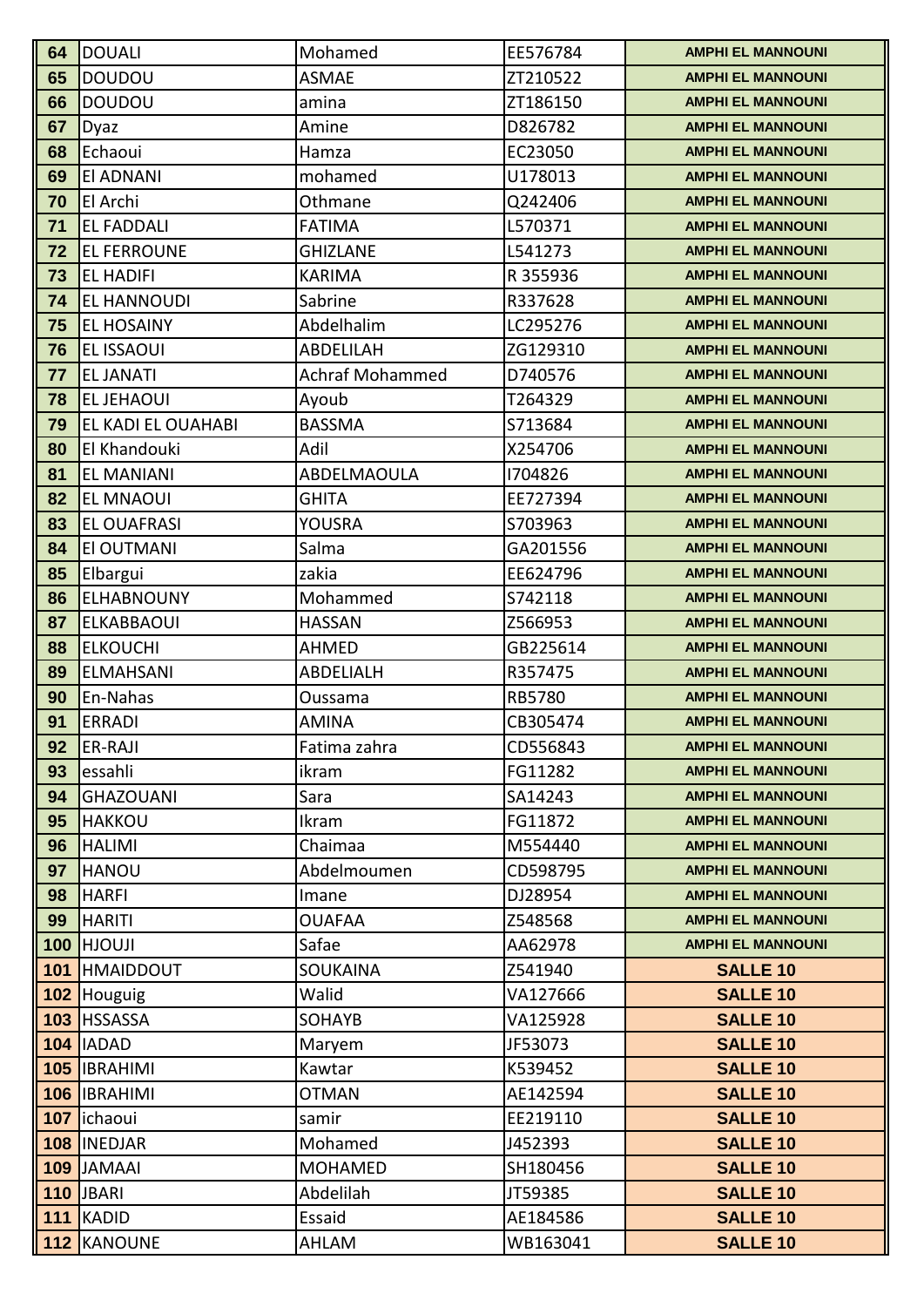| 64 | DOUALI                       | Mohamed                | EE576784            | <b>AMPHI EL MANNOUNI</b>           |
|----|------------------------------|------------------------|---------------------|------------------------------------|
| 65 | DOUDOU                       | <b>ASMAE</b>           | ZT210522            | <b>AMPHI EL MANNOUNI</b>           |
| 66 | DOUDOU                       | amina                  | ZT186150            | <b>AMPHI EL MANNOUNI</b>           |
| 67 | Dyaz                         | Amine                  | D826782             | <b>AMPHI EL MANNOUNI</b>           |
| 68 | Echaoui                      | Hamza                  | EC23050             | <b>AMPHI EL MANNOUNI</b>           |
| 69 | <b>EI ADNANI</b>             | mohamed                | U178013             | <b>AMPHI EL MANNOUNI</b>           |
| 70 | El Archi                     | Othmane                | Q242406             | <b>AMPHI EL MANNOUNI</b>           |
| 71 | <b>EL FADDALI</b>            | <b>FATIMA</b>          | L570371             | <b>AMPHI EL MANNOUNI</b>           |
| 72 | <b>EL FERROUNE</b>           | <b>GHIZLANE</b>        | L541273             | <b>AMPHI EL MANNOUNI</b>           |
| 73 | <b>EL HADIFI</b>             | <b>KARIMA</b>          | R 355936            | <b>AMPHI EL MANNOUNI</b>           |
| 74 | <b>EL HANNOUDI</b>           | Sabrine                | R337628             | <b>AMPHI EL MANNOUNI</b>           |
| 75 | <b>EL HOSAINY</b>            | Abdelhalim             | LC295276            | <b>AMPHI EL MANNOUNI</b>           |
| 76 | <b>EL ISSAOUI</b>            | ABDELILAH              | ZG129310            | <b>AMPHI EL MANNOUNI</b>           |
| 77 | <b>EL JANATI</b>             | <b>Achraf Mohammed</b> | D740576             | <b>AMPHI EL MANNOUNI</b>           |
| 78 | <b>EL JEHAOUI</b>            | Ayoub                  | T264329             | <b>AMPHI EL MANNOUNI</b>           |
| 79 | <b>EL KADI EL OUAHABI</b>    | <b>BASSMA</b>          | S713684             | <b>AMPHI EL MANNOUNI</b>           |
| 80 | El Khandouki                 | Adil                   | X254706             | <b>AMPHI EL MANNOUNI</b>           |
| 81 | <b>EL MANIANI</b>            | ABDELMAOULA            | 1704826             | <b>AMPHI EL MANNOUNI</b>           |
| 82 | <b>EL MNAOUI</b>             | <b>GHITA</b>           | EE727394            | <b>AMPHI EL MANNOUNI</b>           |
| 83 | <b>EL OUAFRASI</b>           | YOUSRA                 | S703963             | <b>AMPHI EL MANNOUNI</b>           |
| 84 | <b>EI OUTMANI</b>            | Salma                  | GA201556            | <b>AMPHI EL MANNOUNI</b>           |
| 85 | Elbargui                     | zakia                  | EE624796            | <b>AMPHI EL MANNOUNI</b>           |
| 86 | ELHABNOUNY                   | Mohammed               | S742118             | <b>AMPHI EL MANNOUNI</b>           |
| 87 | <b>IELKABBAOUI</b>           | <b>HASSAN</b>          | Z566953             | <b>AMPHI EL MANNOUNI</b>           |
| 88 | <b>ELKOUCHI</b>              | AHMED                  | GB225614            | <b>AMPHI EL MANNOUNI</b>           |
| 89 | ELMAHSANI                    | ABDELIALH              | R357475             | <b>AMPHI EL MANNOUNI</b>           |
| 90 | En-Nahas                     | Oussama                | <b>RB5780</b>       | <b>AMPHI EL MANNOUNI</b>           |
| 91 | ERRADI                       | <b>AMINA</b>           | CB305474            | <b>AMPHI EL MANNOUNI</b>           |
| 92 | <b>ER-RAJI</b>               | Fatima zahra           | CD556843            | <b>AMPHI EL MANNOUNI</b>           |
| 93 | essahli                      | ikram                  | FG11282             | <b>AMPHI EL MANNOUNI</b>           |
| 94 | <b>GHAZOUANI</b>             | Sara                   | SA14243             | <b>AMPHI EL MANNOUNI</b>           |
| 95 | <b>HAKKOU</b>                | Ikram                  | FG11872             | <b>AMPHI EL MANNOUNI</b>           |
| 96 | <b>HALIMI</b>                | Chaimaa                | M554440             | <b>AMPHI EL MANNOUNI</b>           |
| 97 | HANOU                        | Abdelmoumen            | CD598795            | <b>AMPHI EL MANNOUNI</b>           |
| 98 | <b>HARFI</b>                 | Imane                  | DJ28954             | <b>AMPHI EL MANNOUNI</b>           |
| 99 | HARITI                       | <b>OUAFAA</b>          | Z548568             | <b>AMPHI EL MANNOUNI</b>           |
|    | 100 HJOUJI                   | Safae                  | AA62978             | <b>AMPHI EL MANNOUNI</b>           |
|    | 101 HMAIDDOUT                | <b>SOUKAINA</b>        | Z541940             | <b>SALLE 10</b>                    |
|    | 102 Houguig                  | Walid                  | VA127666            | <b>SALLE 10</b>                    |
|    | 103 HSSASSA                  | <b>SOHAYB</b>          | VA125928            | <b>SALLE 10</b>                    |
|    | 104   IADAD                  | Maryem                 | JF53073             | <b>SALLE 10</b>                    |
|    | 105 IBRAHIMI<br>106 IBRAHIMI | Kawtar<br><b>OTMAN</b> | K539452<br>AE142594 | <b>SALLE 10</b><br><b>SALLE 10</b> |
|    | 107 lichaoui                 | samir                  | EE219110            | <b>SALLE 10</b>                    |
|    | 108 INEDJAR                  | Mohamed                | J452393             | <b>SALLE 10</b>                    |
|    | 109 JAMAAI                   | <b>MOHAMED</b>         | SH180456            | <b>SALLE 10</b>                    |
|    | <b>110 JBARI</b>             | Abdelilah              | JT59385             | <b>SALLE 10</b>                    |
|    | 111 KADID                    | Essaid                 | AE184586            | <b>SALLE 10</b>                    |
|    |                              |                        |                     |                                    |
|    | 112 KANOUNE                  | AHLAM                  | WB163041            | <b>SALLE 10</b>                    |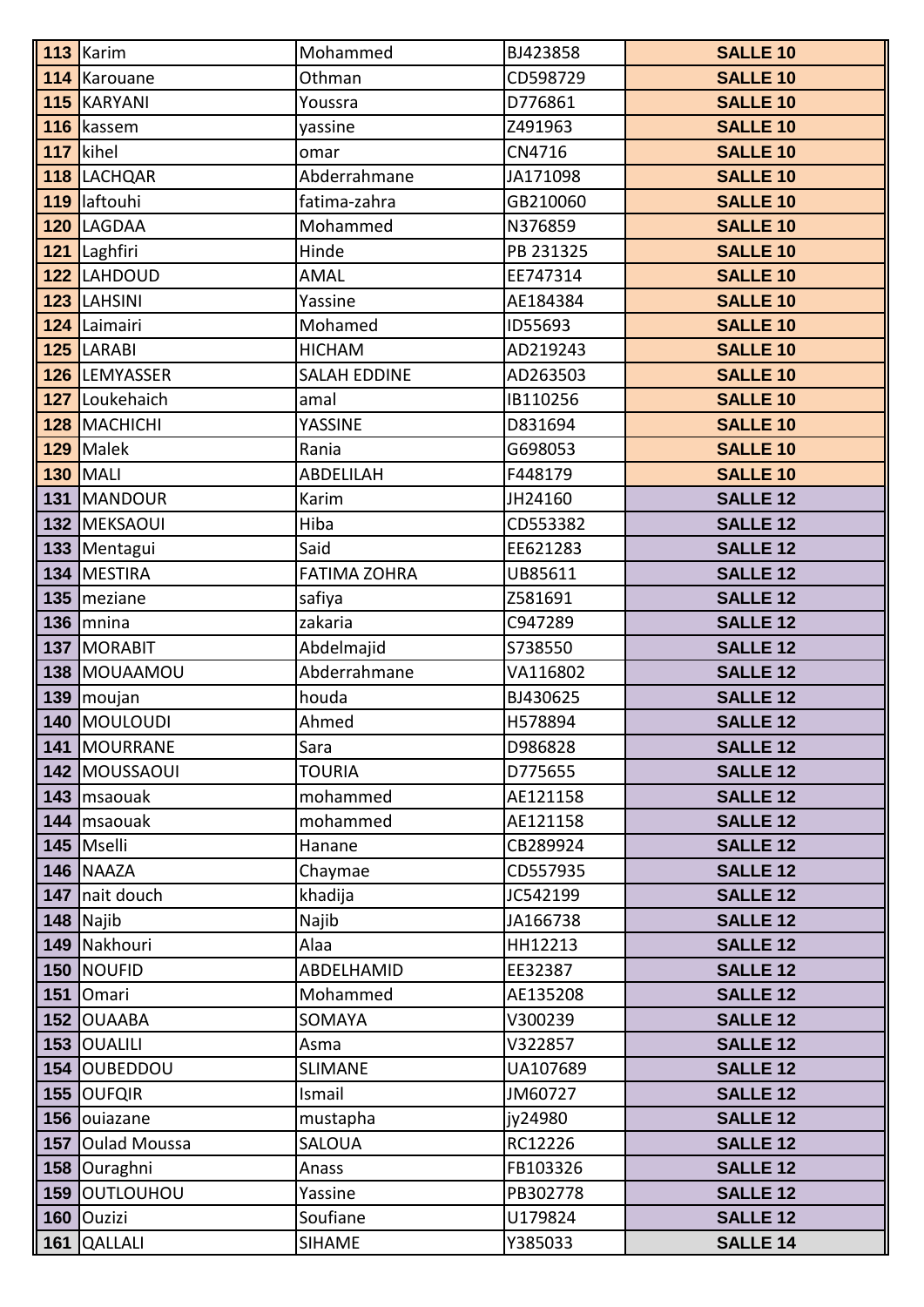| 113 Karim               | Mohammed            | BJ423858           | <b>SALLE 10</b>                    |
|-------------------------|---------------------|--------------------|------------------------------------|
| 114 Karouane            | Othman              | CD598729           | <b>SALLE 10</b>                    |
| <b>115 KARYANI</b>      | Youssra             | D776861            | <b>SALLE 10</b>                    |
| 116 kassem              | yassine             | Z491963            | <b>SALLE 10</b>                    |
| 117 kihel               | omar                | CN4716             | <b>SALLE 10</b>                    |
| 118 LACHQAR             | Abderrahmane        | JA171098           | <b>SALLE 10</b>                    |
| 119 laftouhi            | fatima-zahra        | GB210060           | <b>SALLE 10</b>                    |
| 120 LAGDAA              | Mohammed            | N376859            | <b>SALLE 10</b>                    |
| 121 Laghfiri            | Hinde               | PB 231325          | <b>SALLE 10</b>                    |
| 122 LAHDOUD             | <b>AMAL</b>         | EE747314           | <b>SALLE 10</b>                    |
| 123 LAHSINI             | Yassine             | AE184384           | <b>SALLE 10</b>                    |
| 124 Laimairi            | Mohamed             | ID55693            | <b>SALLE 10</b>                    |
| 125 LARABI              | <b>HICHAM</b>       | AD219243           | <b>SALLE 10</b>                    |
| 126 LEMYASSER           | <b>SALAH EDDINE</b> | AD263503           | <b>SALLE 10</b>                    |
| 127 Loukehaich          | amal                | IB110256           | <b>SALLE 10</b>                    |
| 128 MACHICHI            | YASSINE             | D831694            | <b>SALLE 10</b>                    |
| 129 Malek               | Rania               | G698053            | <b>SALLE 10</b>                    |
| <b>130 MALI</b>         | ABDELILAH           | F448179            | <b>SALLE 10</b>                    |
| 131 MANDOUR             | Karim               | JH24160            | <b>SALLE 12</b>                    |
| 132 MEKSAOUI            | Hiba                | CD553382           | <b>SALLE 12</b>                    |
| 133 Mentagui            | Said                | EE621283           | <b>SALLE 12</b>                    |
| 134 MESTIRA             | <b>FATIMA ZOHRA</b> | UB85611            | <b>SALLE 12</b>                    |
| 135 meziane             | safiya              | Z581691            | <b>SALLE 12</b>                    |
| $136$ mnina             | zakaria             | C947289            | <b>SALLE 12</b>                    |
| 137 MORABIT             | Abdelmajid          | S738550            | <b>SALLE 12</b>                    |
| 138 MOUAAMOU            | Abderrahmane        | VA116802           | <b>SALLE 12</b>                    |
| 139 moujan              | houda               | BJ430625           | <b>SALLE 12</b>                    |
| 140 MOULOUDI            | Ahmed               | H578894            | <b>SALLE 12</b>                    |
| 141   MOURRANE          | Sara                | D986828            | <b>SALLE 12</b>                    |
| <b>142 MOUSSAOUI</b>    | <b>TOURIA</b>       | D775655            | <b>SALLE 12</b>                    |
| 143   msaouak           | mohammed            | AE121158           | <b>SALLE 12</b>                    |
| 144 msaouak             | mohammed            | AE121158           | <b>SALLE 12</b>                    |
| 145   Mselli            | Hanane              | CB289924           | <b>SALLE 12</b>                    |
| 146 NAAZA               | Chaymae             | CD557935           | <b>SALLE 12</b>                    |
| 147 nait douch          | khadija             | JC542199           | <b>SALLE 12</b>                    |
| $148$ Najib             | Najib               | JA166738           | <b>SALLE 12</b>                    |
| 149 Nakhouri            | Alaa                | HH12213            | <b>SALLE 12</b>                    |
| 150 NOUFID              | ABDELHAMID          | EE32387            | <b>SALLE 12</b>                    |
| 151 Omari<br>152 OUAABA | Mohammed            | AE135208           | <b>SALLE 12</b><br><b>SALLE 12</b> |
| 153 OUALILI             | SOMAYA<br>Asma      | V300239<br>V322857 | <b>SALLE 12</b>                    |
| 154 OUBEDDOU            | <b>SLIMANE</b>      | UA107689           | <b>SALLE 12</b>                    |
| 155 OUFQIR              | Ismail              | JM60727            | <b>SALLE 12</b>                    |
| 156 ouiazane            | mustapha            | jy24980            | <b>SALLE 12</b>                    |
| 157 Oulad Moussa        | <b>SALOUA</b>       | RC12226            | <b>SALLE 12</b>                    |
| 158 Ouraghni            | Anass               | FB103326           | <b>SALLE 12</b>                    |
| 159 OUTLOUHOU           | Yassine             | PB302778           | <b>SALLE 12</b>                    |
| 160 Ouzizi              | Soufiane            | U179824            | <b>SALLE 12</b>                    |
| 161 QALLALI             | <b>SIHAME</b>       | Y385033            | <b>SALLE 14</b>                    |
|                         |                     |                    |                                    |